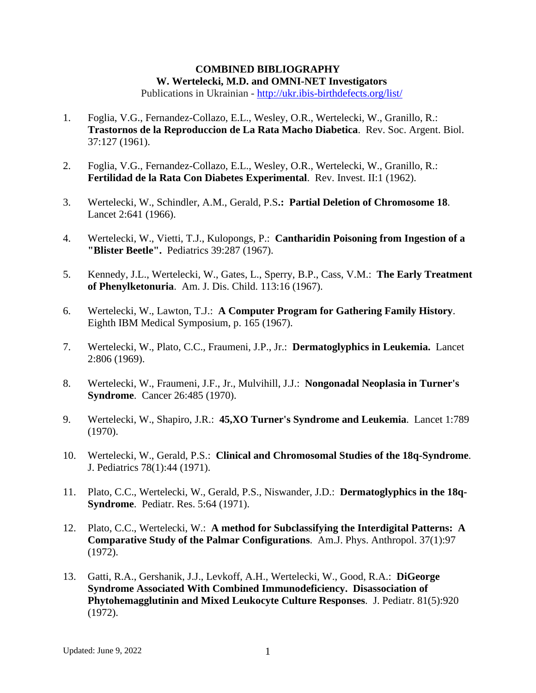## **COMBINED BIBLIOGRAPHY W. Wertelecki, M.D. and OMNI-NET Investigators**

Publications in Ukrainian *-* <http://ukr.ibis-birthdefects.org/list/>

- 1. Foglia, V.G., Fernandez-Collazo, E.L., Wesley, O.R., Wertelecki, W., Granillo, R.: **Trastornos de la Reproduccion de La Rata Macho Diabetica**. Rev. Soc. Argent. Biol. 37:127 (1961).
- 2. Foglia, V.G., Fernandez-Collazo, E.L., Wesley, O.R., Wertelecki, W., Granillo, R.: **Fertilidad de la Rata Con Diabetes Experimental**. Rev. Invest. II:1 (1962).
- 3. Wertelecki, W., Schindler, A.M., Gerald, P.S**.: Partial Deletion of Chromosome 18**. Lancet 2:641 (1966).
- 4. Wertelecki, W., Vietti, T.J., Kulopongs, P.: **Cantharidin Poisoning from Ingestion of a "Blister Beetle".** Pediatrics 39:287 (1967).
- 5. Kennedy, J.L., Wertelecki, W., Gates, L., Sperry, B.P., Cass, V.M.: **The Early Treatment of Phenylketonuria**. Am. J. Dis. Child. 113:16 (1967).
- 6. Wertelecki, W., Lawton, T.J.: **A Computer Program for Gathering Family History**. Eighth IBM Medical Symposium, p. 165 (1967).
- 7. Wertelecki, W., Plato, C.C., Fraumeni, J.P., Jr.: **Dermatoglyphics in Leukemia.** Lancet 2:806 (1969).
- 8. Wertelecki, W., Fraumeni, J.F., Jr., Mulvihill, J.J.: **Nongonadal Neoplasia in Turner's Syndrome**. Cancer 26:485 (1970).
- 9. Wertelecki, W., Shapiro, J.R.: **45,XO Turner's Syndrome and Leukemia**. Lancet 1:789 (1970).
- 10. Wertelecki, W., Gerald, P.S.: **Clinical and Chromosomal Studies of the 18q-Syndrome**. J. Pediatrics 78(1):44 (1971).
- 11. Plato, C.C., Wertelecki, W., Gerald, P.S., Niswander, J.D.: **Dermatoglyphics in the 18q-Syndrome**. Pediatr. Res. 5:64 (1971).
- 12. Plato, C.C., Wertelecki, W.: **A method for Subclassifying the Interdigital Patterns: A Comparative Study of the Palmar Configurations**. Am.J. Phys. Anthropol. 37(1):97 (1972).
- 13. Gatti, R.A., Gershanik, J.J., Levkoff, A.H., Wertelecki, W., Good, R.A.: **DiGeorge Syndrome Associated With Combined Immunodeficiency. Disassociation of Phytohemagglutinin and Mixed Leukocyte Culture Responses**. J. Pediatr. 81(5):920 (1972).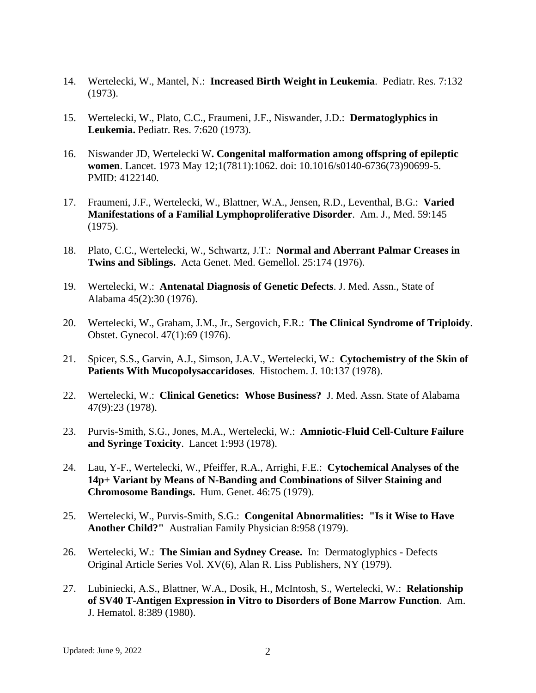- 14. Wertelecki, W., Mantel, N.: **Increased Birth Weight in Leukemia**. Pediatr. Res. 7:132 (1973).
- 15. Wertelecki, W., Plato, C.C., Fraumeni, J.F., Niswander, J.D.: **Dermatoglyphics in Leukemia.** Pediatr. Res. 7:620 (1973).
- 16. Niswander JD, Wertelecki W**. Congenital malformation among offspring of epileptic women**. Lancet. 1973 May 12;1(7811):1062. doi: 10.1016/s0140-6736(73)90699-5. PMID: 4122140.
- 17. Fraumeni, J.F., Wertelecki, W., Blattner, W.A., Jensen, R.D., Leventhal, B.G.: **Varied Manifestations of a Familial Lymphoproliferative Disorder**. Am. J., Med. 59:145 (1975).
- 18. Plato, C.C., Wertelecki, W., Schwartz, J.T.: **Normal and Aberrant Palmar Creases in Twins and Siblings.** Acta Genet. Med. Gemellol. 25:174 (1976).
- 19. Wertelecki, W.: **Antenatal Diagnosis of Genetic Defects**. J. Med. Assn., State of Alabama 45(2):30 (1976).
- 20. Wertelecki, W., Graham, J.M., Jr., Sergovich, F.R.: **The Clinical Syndrome of Triploidy**. Obstet. Gynecol. 47(1):69 (1976).
- 21. Spicer, S.S., Garvin, A.J., Simson, J.A.V., Wertelecki, W.: **Cytochemistry of the Skin of Patients With Mucopolysaccaridoses**. Histochem. J. 10:137 (1978).
- 22. Wertelecki, W.: **Clinical Genetics: Whose Business?** J. Med. Assn. State of Alabama 47(9):23 (1978).
- 23. Purvis-Smith, S.G., Jones, M.A., Wertelecki, W.: **Amniotic-Fluid Cell-Culture Failure and Syringe Toxicity**. Lancet 1:993 (1978).
- 24. Lau, Y-F., Wertelecki, W., Pfeiffer, R.A., Arrighi, F.E.: **Cytochemical Analyses of the 14p+ Variant by Means of N-Banding and Combinations of Silver Staining and Chromosome Bandings.** Hum. Genet. 46:75 (1979).
- 25. Wertelecki, W., Purvis-Smith, S.G.: **Congenital Abnormalities: "Is it Wise to Have Another Child?"** Australian Family Physician 8:958 (1979).
- 26. Wertelecki, W.: **The Simian and Sydney Crease.** In: Dermatoglyphics Defects Original Article Series Vol. XV(6), Alan R. Liss Publishers, NY (1979).
- 27. Lubiniecki, A.S., Blattner, W.A., Dosik, H., McIntosh, S., Wertelecki, W.: **Relationship of SV40 T-Antigen Expression in Vitro to Disorders of Bone Marrow Function**. Am. J. Hematol. 8:389 (1980).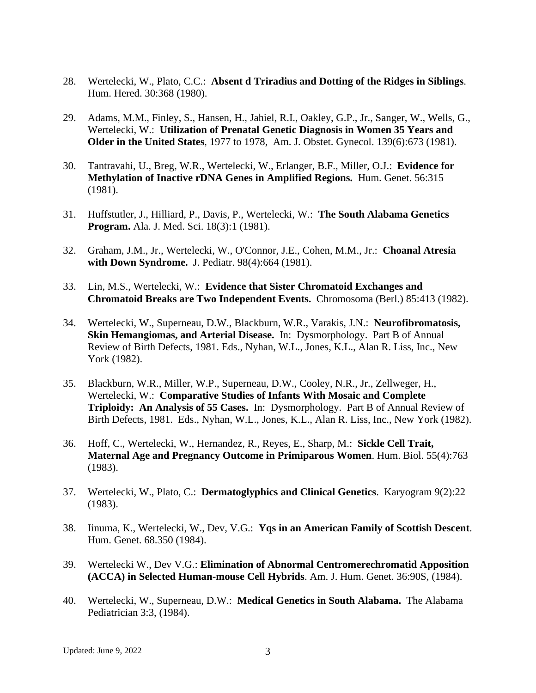- 28. Wertelecki, W., Plato, C.C.: **Absent d Triradius and Dotting of the Ridges in Siblings**. Hum. Hered. 30:368 (1980).
- 29. Adams, M.M., Finley, S., Hansen, H., Jahiel, R.I., Oakley, G.P., Jr., Sanger, W., Wells, G., Wertelecki, W.: **Utilization of Prenatal Genetic Diagnosis in Women 35 Years and Older in the United States**, 1977 to 1978, Am. J. Obstet. Gynecol. 139(6):673 (1981).
- 30. Tantravahi, U., Breg, W.R., Wertelecki, W., Erlanger, B.F., Miller, O.J.: **Evidence for Methylation of Inactive rDNA Genes in Amplified Regions.** Hum. Genet. 56:315 (1981).
- 31. Huffstutler, J., Hilliard, P., Davis, P., Wertelecki, W.: **The South Alabama Genetics Program.** Ala. J. Med. Sci. 18(3):1 (1981).
- 32. Graham, J.M., Jr., Wertelecki, W., O'Connor, J.E., Cohen, M.M., Jr.: **Choanal Atresia with Down Syndrome.** J. Pediatr. 98(4):664 (1981).
- 33. Lin, M.S., Wertelecki, W.: **Evidence that Sister Chromatoid Exchanges and Chromatoid Breaks are Two Independent Events.** Chromosoma (Berl.) 85:413 (1982).
- 34. Wertelecki, W., Superneau, D.W., Blackburn, W.R., Varakis, J.N.: **Neurofibromatosis, Skin Hemangiomas, and Arterial Disease.** In: Dysmorphology. Part B of Annual Review of Birth Defects, 1981. Eds., Nyhan, W.L., Jones, K.L., Alan R. Liss, Inc., New York (1982).
- 35. Blackburn, W.R., Miller, W.P., Superneau, D.W., Cooley, N.R., Jr., Zellweger, H., Wertelecki, W.: **Comparative Studies of Infants With Mosaic and Complete Triploidy: An Analysis of 55 Cases.** In: Dysmorphology. Part B of Annual Review of Birth Defects, 1981. Eds., Nyhan, W.L., Jones, K.L., Alan R. Liss, Inc., New York (1982).
- 36. Hoff, C., Wertelecki, W., Hernandez, R., Reyes, E., Sharp, M.: **Sickle Cell Trait, Maternal Age and Pregnancy Outcome in Primiparous Women**. Hum. Biol. 55(4):763 (1983).
- 37. Wertelecki, W., Plato, C.: **Dermatoglyphics and Clinical Genetics**. Karyogram 9(2):22 (1983).
- 38. Iinuma, K., Wertelecki, W., Dev, V.G.: **Yqs in an American Family of Scottish Descent**. Hum. Genet. 68.350 (1984).
- 39. Wertelecki W., Dev V.G.: **Elimination of Abnormal Centromerechromatid Apposition (ACCA) in Selected Human-mouse Cell Hybrids**. Am. J. Hum. Genet. 36:90S, (1984).
- 40. Wertelecki, W., Superneau, D.W.: **Medical Genetics in South Alabama.** The Alabama Pediatrician 3:3, (1984).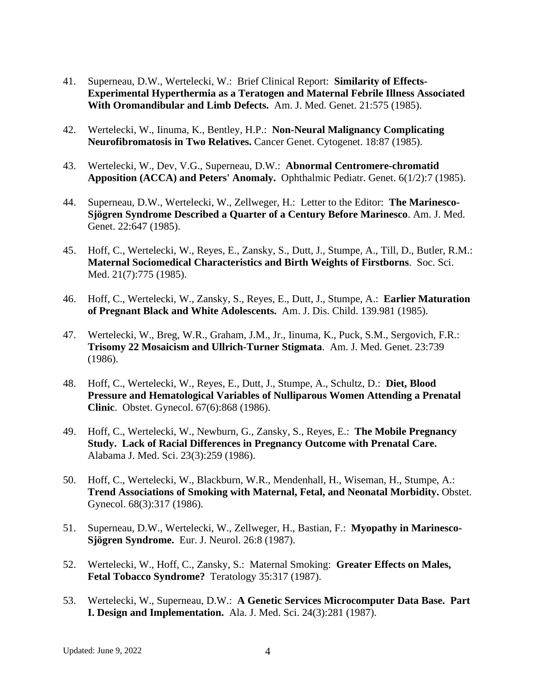- 41. Superneau, D.W., Wertelecki, W.: Brief Clinical Report: **Similarity of Effects-Experimental Hyperthermia as a Teratogen and Maternal Febrile Illness Associated With Oromandibular and Limb Defects.** Am. J. Med. Genet. 21:575 (1985).
- 42. Wertelecki, W., Iinuma, K., Bentley, H.P.: **Non-Neural Malignancy Complicating Neurofibromatosis in Two Relatives.** Cancer Genet. Cytogenet. 18:87 (1985).
- 43. Wertelecki, W., Dev, V.G., Superneau, D.W.: **Abnormal Centromere-chromatid Apposition (ACCA) and Peters' Anomaly.** Ophthalmic Pediatr. Genet. 6(1/2):7 (1985).
- 44. Superneau, D.W., Wertelecki, W., Zellweger, H.: Letter to the Editor: **The Marinesco-Sjögren Syndrome Described a Quarter of a Century Before Marinesco**. Am. J. Med. Genet. 22:647 (1985).
- 45. Hoff, C., Wertelecki, W., Reyes, E., Zansky, S., Dutt, J., Stumpe, A., Till, D., Butler, R.M.: **Maternal Sociomedical Characteristics and Birth Weights of Firstborns**. Soc. Sci. Med. 21(7):775 (1985).
- 46. Hoff, C., Wertelecki, W., Zansky, S., Reyes, E., Dutt, J., Stumpe, A.: **Earlier Maturation of Pregnant Black and White Adolescents.** Am. J. Dis. Child. 139.981 (1985).
- 47. Wertelecki, W., Breg, W.R., Graham, J.M., Jr., Iinuma, K., Puck, S.M., Sergovich, F.R.: **Trisomy 22 Mosaicism and Ullrich-Turner Stigmata**. Am. J. Med. Genet. 23:739 (1986).
- 48. Hoff, C., Wertelecki, W., Reyes, E., Dutt, J., Stumpe, A., Schultz, D.: **Diet, Blood Pressure and Hematological Variables of Nulliparous Women Attending a Prenatal Clinic**. Obstet. Gynecol. 67(6):868 (1986).
- 49. Hoff, C., Wertelecki, W., Newburn, G., Zansky, S., Reyes, E.: **The Mobile Pregnancy Study. Lack of Racial Differences in Pregnancy Outcome with Prenatal Care.** Alabama J. Med. Sci. 23(3):259 (1986).
- 50. Hoff, C., Wertelecki, W., Blackburn, W.R., Mendenhall, H., Wiseman, H., Stumpe, A.: **Trend Associations of Smoking with Maternal, Fetal, and Neonatal Morbidity.** Obstet. Gynecol. 68(3):317 (1986).
- 51. Superneau, D.W., Wertelecki, W., Zellweger, H., Bastian, F.: **Myopathy in Marinesco-Sjögren Syndrome.** Eur. J. Neurol. 26:8 (1987).
- 52. Wertelecki, W., Hoff, C., Zansky, S.: Maternal Smoking: **Greater Effects on Males, Fetal Tobacco Syndrome?** Teratology 35:317 (1987).
- 53. Wertelecki, W., Superneau, D.W.: **A Genetic Services Microcomputer Data Base. Part I. Design and Implementation.** Ala. J. Med. Sci. 24(3):281 (1987).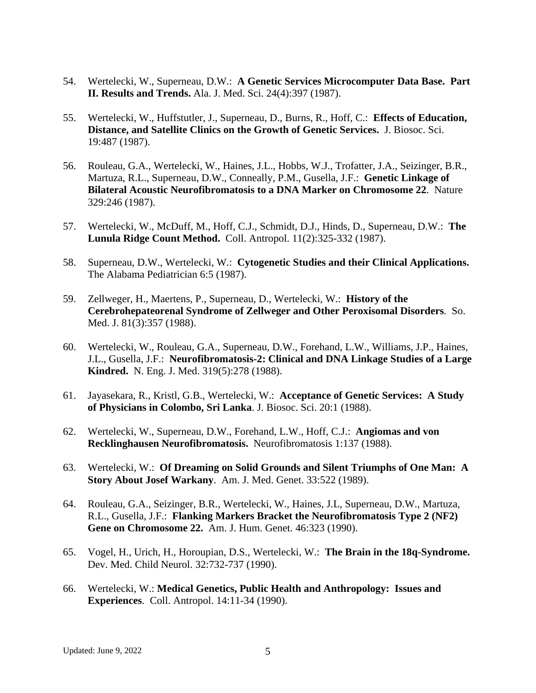- 54. Wertelecki, W., Superneau, D.W.: **A Genetic Services Microcomputer Data Base. Part II. Results and Trends.** Ala. J. Med. Sci. 24(4):397 (1987).
- 55. Wertelecki, W., Huffstutler, J., Superneau, D., Burns, R., Hoff, C.: **Effects of Education, Distance, and Satellite Clinics on the Growth of Genetic Services.** J. Biosoc. Sci. 19:487 (1987).
- 56. Rouleau, G.A., Wertelecki, W., Haines, J.L., Hobbs, W.J., Trofatter, J.A., Seizinger, B.R., Martuza, R.L., Superneau, D.W., Conneally, P.M., Gusella, J.F.: **Genetic Linkage of Bilateral Acoustic Neurofibromatosis to a DNA Marker on Chromosome 22**. Nature 329:246 (1987).
- 57. Wertelecki, W., McDuff, M., Hoff, C.J., Schmidt, D.J., Hinds, D., Superneau, D.W.: **The Lunula Ridge Count Method.** Coll. Antropol. 11(2):325-332 (1987).
- 58. Superneau, D.W., Wertelecki, W.: **Cytogenetic Studies and their Clinical Applications.** The Alabama Pediatrician 6:5 (1987).
- 59. Zellweger, H., Maertens, P., Superneau, D., Wertelecki, W.: **History of the Cerebrohepateorenal Syndrome of Zellweger and Other Peroxisomal Disorders**. So. Med. J. 81(3):357 (1988).
- 60. Wertelecki, W., Rouleau, G.A., Superneau, D.W., Forehand, L.W., Williams, J.P., Haines, J.L., Gusella, J.F.: **Neurofibromatosis-2: Clinical and DNA Linkage Studies of a Large Kindred.** N. Eng. J. Med. 319(5):278 (1988).
- 61. Jayasekara, R., Kristl, G.B., Wertelecki, W.: **Acceptance of Genetic Services: A Study of Physicians in Colombo, Sri Lanka**. J. Biosoc. Sci. 20:1 (1988).
- 62. Wertelecki, W., Superneau, D.W., Forehand, L.W., Hoff, C.J.: **Angiomas and von Recklinghausen Neurofibromatosis.** Neurofibromatosis 1:137 (1988).
- 63. Wertelecki, W.: **Of Dreaming on Solid Grounds and Silent Triumphs of One Man: A Story About Josef Warkany**. Am. J. Med. Genet. 33:522 (1989).
- 64. Rouleau, G.A., Seizinger, B.R., Wertelecki, W., Haines, J.L, Superneau, D.W., Martuza, R.L., Gusella, J.F.: **Flanking Markers Bracket the Neurofibromatosis Type 2 (NF2) Gene on Chromosome 22.** Am. J. Hum. Genet. 46:323 (1990).
- 65. Vogel, H., Urich, H., Horoupian, D.S., Wertelecki, W.: **The Brain in the 18q-Syndrome.** Dev. Med. Child Neurol. 32:732-737 (1990).
- 66. Wertelecki, W.: **Medical Genetics, Public Health and Anthropology: Issues and Experiences**. Coll. Antropol. 14:11-34 (1990).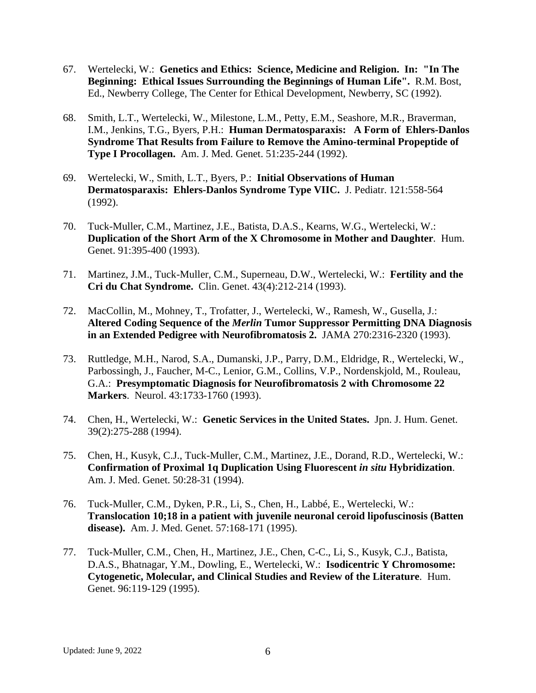- 67. Wertelecki, W.: **Genetics and Ethics: Science, Medicine and Religion. In: "In The Beginning: Ethical Issues Surrounding the Beginnings of Human Life".** R.M. Bost, Ed., Newberry College, The Center for Ethical Development, Newberry, SC (1992).
- 68. Smith, L.T., Wertelecki, W., Milestone, L.M., Petty, E.M., Seashore, M.R., Braverman, I.M., Jenkins, T.G., Byers, P.H.: **Human Dermatosparaxis: A Form of Ehlers-Danlos Syndrome That Results from Failure to Remove the Amino-terminal Propeptide of Type I Procollagen.** Am. J. Med. Genet. 51:235-244 (1992).
- 69. Wertelecki, W., Smith, L.T., Byers, P.: **Initial Observations of Human Dermatosparaxis: Ehlers-Danlos Syndrome Type VIIC.** J. Pediatr. 121:558-564 (1992).
- 70. Tuck-Muller, C.M., Martinez, J.E., Batista, D.A.S., Kearns, W.G., Wertelecki, W.: **Duplication of the Short Arm of the X Chromosome in Mother and Daughter**. Hum. Genet. 91:395-400 (1993).
- 71. Martinez, J.M., Tuck-Muller, C.M., Superneau, D.W., Wertelecki, W.: **Fertility and the Cri du Chat Syndrome.** Clin. Genet. 43(4):212-214 (1993).
- 72. MacCollin, M., Mohney, T., Trofatter, J., Wertelecki, W., Ramesh, W., Gusella, J.: **Altered Coding Sequence of the** *Merlin* **Tumor Suppressor Permitting DNA Diagnosis in an Extended Pedigree with Neurofibromatosis 2.** JAMA 270:2316-2320 (1993).
- 73. Ruttledge, M.H., Narod, S.A., Dumanski, J.P., Parry, D.M., Eldridge, R., Wertelecki, W., Parbossingh, J., Faucher, M-C., Lenior, G.M., Collins, V.P., Nordenskjold, M., Rouleau, G.A.: **Presymptomatic Diagnosis for Neurofibromatosis 2 with Chromosome 22 Markers**. Neurol. 43:1733-1760 (1993).
- 74. Chen, H., Wertelecki, W.: **Genetic Services in the United States.** Jpn. J. Hum. Genet. 39(2):275-288 (1994).
- 75. Chen, H., Kusyk, C.J., Tuck-Muller, C.M., Martinez, J.E., Dorand, R.D., Wertelecki, W.: **Confirmation of Proximal 1q Duplication Using Fluorescent** *in situ* **Hybridization**. Am. J. Med. Genet. 50:28-31 (1994).
- 76. Tuck-Muller, C.M., Dyken, P.R., Li, S., Chen, H., Labbé, E., Wertelecki, W.: **Translocation 10;18 in a patient with juvenile neuronal ceroid lipofuscinosis (Batten disease).** Am. J. Med. Genet. 57:168-171 (1995).
- 77. Tuck-Muller, C.M., Chen, H., Martinez, J.E., Chen, C-C., Li, S., Kusyk, C.J., Batista, D.A.S., Bhatnagar, Y.M., Dowling, E., Wertelecki, W.: **Isodicentric Y Chromosome: Cytogenetic, Molecular, and Clinical Studies and Review of the Literature**. Hum. Genet. 96:119-129 (1995).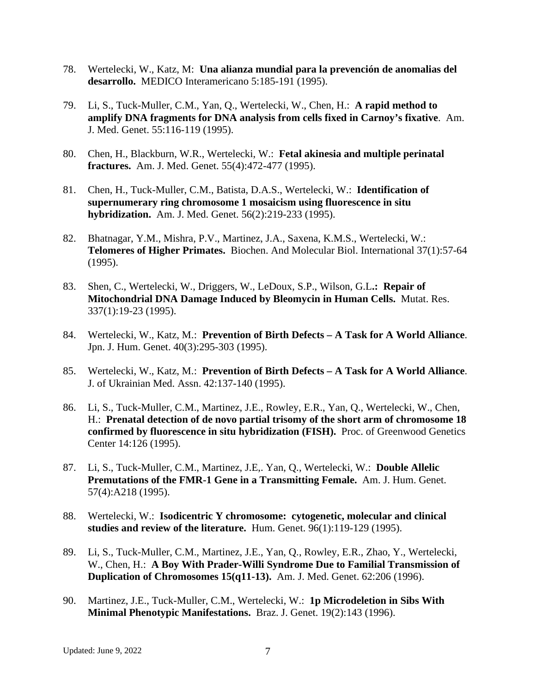- 78. Wertelecki, W., Katz, M: **Una alianza mundial para la prevención de anomalias del desarrollo.** MEDICO Interamericano 5:185-191 (1995).
- 79. Li, S., Tuck-Muller, C.M., Yan, Q., Wertelecki, W., Chen, H.: **A rapid method to amplify DNA fragments for DNA analysis from cells fixed in Carnoy's fixative**. Am. J. Med. Genet. 55:116-119 (1995).
- 80. Chen, H., Blackburn, W.R., Wertelecki, W.: **Fetal akinesia and multiple perinatal fractures.** Am. J. Med. Genet. 55(4):472-477 (1995).
- 81. Chen, H., Tuck-Muller, C.M., Batista, D.A.S., Wertelecki, W.: **Identification of supernumerary ring chromosome 1 mosaicism using fluorescence in situ hybridization.** Am. J. Med. Genet. 56(2):219-233 (1995).
- 82. Bhatnagar, Y.M., Mishra, P.V., Martinez, J.A., Saxena, K.M.S., Wertelecki, W.: **Telomeres of Higher Primates.** Biochen. And Molecular Biol. International 37(1):57-64 (1995).
- 83. Shen, C., Wertelecki, W., Driggers, W., LeDoux, S.P., Wilson, G.L**.: Repair of Mitochondrial DNA Damage Induced by Bleomycin in Human Cells.** Mutat. Res. 337(1):19-23 (1995).
- 84. Wertelecki, W., Katz, M.: **Prevention of Birth Defects – A Task for A World Alliance**. Jpn. J. Hum. Genet. 40(3):295-303 (1995).
- 85. Wertelecki, W., Katz, M.: **Prevention of Birth Defects – A Task for A World Alliance**. J. of Ukrainian Med. Assn. 42:137-140 (1995).
- 86. Li, S., Tuck-Muller, C.M., Martinez, J.E., Rowley, E.R., Yan, Q., Wertelecki, W., Chen, H.: **Prenatal detection of de novo partial trisomy of the short arm of chromosome 18 confirmed by fluorescence in situ hybridization (FISH).** Proc. of Greenwood Genetics Center 14:126 (1995).
- 87. Li, S., Tuck-Muller, C.M., Martinez, J.E,. Yan, Q., Wertelecki, W.: **Double Allelic Premutations of the FMR-1 Gene in a Transmitting Female.** Am. J. Hum. Genet. 57(4):A218 (1995).
- 88. Wertelecki, W.: **Isodicentric Y chromosome: cytogenetic, molecular and clinical studies and review of the literature.** Hum. Genet. 96(1):119-129 (1995).
- 89. Li, S., Tuck-Muller, C.M., Martinez, J.E., Yan, Q., Rowley, E.R., Zhao, Y., Wertelecki, W., Chen, H.: **A Boy With Prader-Willi Syndrome Due to Familial Transmission of Duplication of Chromosomes 15(q11-13).** Am. J. Med. Genet. 62:206 (1996).
- 90. Martinez, J.E., Tuck-Muller, C.M., Wertelecki, W.: **1p Microdeletion in Sibs With Minimal Phenotypic Manifestations.** Braz. J. Genet. 19(2):143 (1996).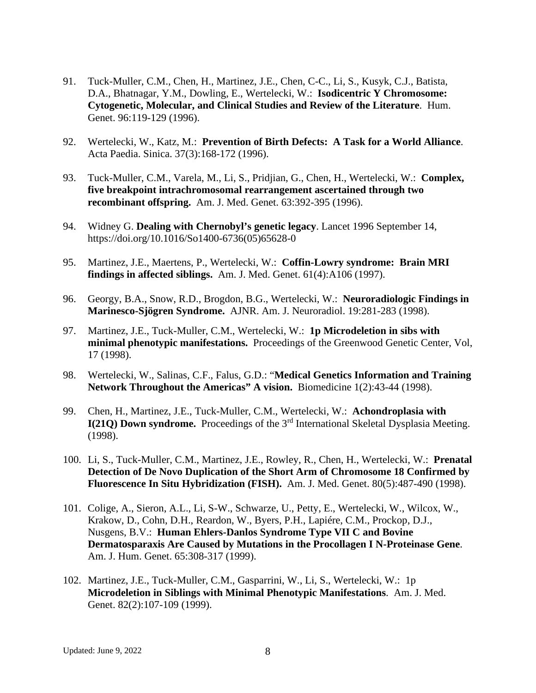- 91. Tuck-Muller, C.M., Chen, H., Martinez, J.E., Chen, C-C., Li, S., Kusyk, C.J., Batista, D.A., Bhatnagar, Y.M., Dowling, E., Wertelecki, W.: **Isodicentric Y Chromosome: Cytogenetic, Molecular, and Clinical Studies and Review of the Literature**. Hum. Genet. 96:119-129 (1996).
- 92. Wertelecki, W., Katz, M.: **Prevention of Birth Defects: A Task for a World Alliance**. Acta Paedia. Sinica. 37(3):168-172 (1996).
- 93. Tuck-Muller, C.M., Varela, M., Li, S., Pridjian, G., Chen, H., Wertelecki, W.: **Complex, five breakpoint intrachromosomal rearrangement ascertained through two recombinant offspring.** Am. J. Med. Genet. 63:392-395 (1996).
- 94. Widney G. **Dealing with Chernobyl's genetic legacy**. Lancet 1996 September 14, [https://doi.org/10.1016/So1400-6736\(05\)65628-0](https://doi.org/10.1016/So1400-6736(05)65628-0)
- 95. Martinez, J.E., Maertens, P., Wertelecki, W.: **Coffin-Lowry syndrome: Brain MRI findings in affected siblings.** Am. J. Med. Genet. 61(4):A106 (1997).
- 96. Georgy, B.A., Snow, R.D., Brogdon, B.G., Wertelecki, W.: **Neuroradiologic Findings in Marinesco-Sjögren Syndrome.** AJNR. Am. J. Neuroradiol. 19:281-283 (1998).
- 97. Martinez, J.E., Tuck-Muller, C.M., Wertelecki, W.: **1p Microdeletion in sibs with minimal phenotypic manifestations.** Proceedings of the Greenwood Genetic Center, Vol, 17 (1998).
- 98. Wertelecki, W., Salinas, C.F., Falus, G.D.: "**Medical Genetics Information and Training Network Throughout the Americas" A vision.** Biomedicine 1(2):43-44 (1998).
- 99. Chen, H., Martinez, J.E., Tuck-Muller, C.M., Wertelecki, W.: **Achondroplasia with I(21Q) Down syndrome.** Proceedings of the 3<sup>rd</sup> International Skeletal Dysplasia Meeting. (1998).
- 100. Li, S., Tuck-Muller, C.M., Martinez, J.E., Rowley, R., Chen, H., Wertelecki, W.: **Prenatal Detection of De Novo Duplication of the Short Arm of Chromosome 18 Confirmed by Fluorescence In Situ Hybridization (FISH).** Am. J. Med. Genet. 80(5):487-490 (1998).
- 101. Colige, A., Sieron, A.L., Li, S-W., Schwarze, U., Petty, E., Wertelecki, W., Wilcox, W., Krakow, D., Cohn, D.H., Reardon, W., Byers, P.H., Lapiére, C.M., Prockop, D.J., Nusgens, B.V.: **Human Ehlers-Danlos Syndrome Type VII C and Bovine Dermatosparaxis Are Caused by Mutations in the Procollagen I N-Proteinase Gene**. Am. J. Hum. Genet. 65:308-317 (1999).
- 102. Martinez, J.E., Tuck-Muller, C.M., Gasparrini, W., Li, S., Wertelecki, W.: 1p **Microdeletion in Siblings with Minimal Phenotypic Manifestations**. Am. J. Med. Genet. 82(2):107-109 (1999).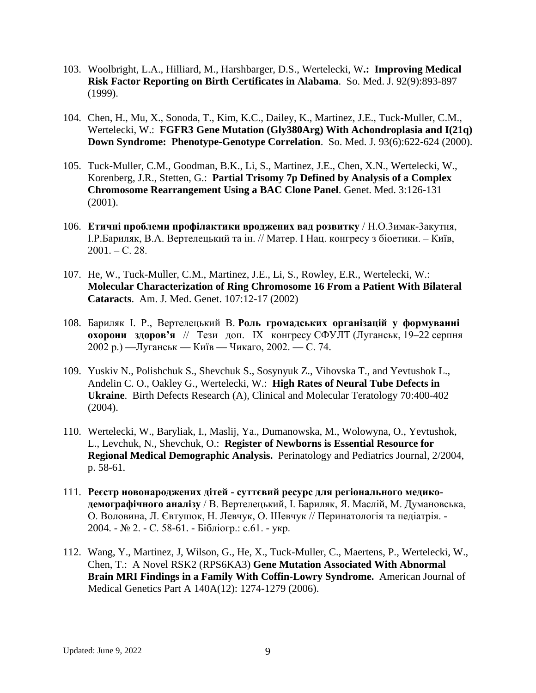- 103. Woolbright, L.A., Hilliard, M., Harshbarger, D.S., Wertelecki, W**.: Improving Medical Risk Factor Reporting on Birth Certificates in Alabama**. So. Med. J. 92(9):893-897 (1999).
- 104. Chen, H., Mu, X., Sonoda, T., Kim, K.C., Dailey, K., Martinez, J.E., Tuck-Muller, C.M., Wertelecki, W.: **FGFR3 Gene Mutation (Gly380Arg) With Achondroplasia and I(21q) Down Syndrome: Phenotype-Genotype Correlation**. So. Med. J. 93(6):622-624 (2000).
- 105. Tuck-Muller, C.M., Goodman, B.K., Li, S., Martinez, J.E., Chen, X.N., Wertelecki, W., Korenberg, J.R., Stetten, G.: **Partial Trisomy 7p Defined by Analysis of a Complex Chromosome Rearrangement Using a BAC Clone Panel**. Genet. Med. 3:126-131 (2001).
- 106. **Етичні проблеми профілактики вроджених вад розвитку** / Н.О.3имак-3акутня, І.Р.Бариляк, В.А. Вертелецький та ін. // Матер. І Нац. конгресу з біоетики. – Київ,  $2001. - C. 28.$
- 107. He, W., Tuck-Muller, C.M., Martinez, J.E., Li, S., Rowley, E.R., Wertelecki, W.: **Molecular Characterization of Ring Chromosome 16 From a Patient With Bilateral Cataracts**. Am. J. Med. Genet. 107:12-17 (2002)
- 108. Бариляк І. Р., Вертелецький В. **Роль громадських організацій у формуванні охорони здоров'я** // Тези доп. IX конгресу СФУЛТ (Луганськ, 19–22 серпня 2002 р.) —Луганськ — Київ — Чикаго, 2002. — С. 74.
- 109. Yuskiv N., Polishchuk S., Shevchuk S., Sosynyuk Z., Vihovska T., and Yevtushok L., Andelin C. O., Oakley G., Wertelecki, W.: **High Rates of Neural Tube Defects in Ukraine**. Birth Defects Research (A), Clinical and Molecular Teratology 70:400-402 (2004).
- 110. Wertelecki, W., Baryliak, I., Maslij, Ya., Dumanowska, M., Wolowyna, O., Yevtushok, L., Levchuk, N., Shevchuk, O.: **Register of Newborns is Essential Resource for Regional Medical Demographic Analysis.** Perinatology and Pediatrics Journal, 2/2004, p. 58-61.
- 111. **Реєстр новонароджених дітей - суттєвий ресурс для регіонального медикодемографічного аналізу** / В. Вертелецький, І. Бариляк, Я. Маслій, М. Думановська, О. Воловина, Л. Євтушок, Н. Левчук, О. Шевчук // Перинатологія та педіатрія. - 2004. - № 2. - С. 58-61. - Бібліогр.: с.61. - укp.
- 112. Wang, Y., Martinez, J, Wilson, G., He, X., Tuck-Muller, C., Maertens, P., Wertelecki, W., Chen, T.: A Novel RSK2 (RPS6KA3) **Gene Mutation Associated With Abnormal Brain MRI Findings in a Family With Coffin-Lowry Syndrome.** American Journal of Medical Genetics Part A 140A(12): 1274-1279 (2006).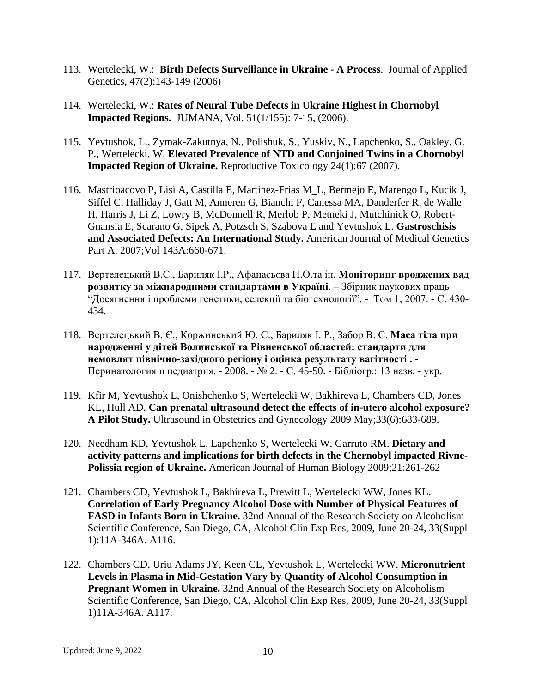- 113. Wertelecki, W.: **Birth Defects Surveillance in Ukraine - A Process**. Journal of Applied Genetics, 47(2):143-149 (2006)
- 114. Wertelecki, W.: **Rates of Neural Tube Defects in Ukraine Highest in Chornobyl Impacted Regions.** JUMANA, Vol. 51(1/155): 7-15, (2006).
- 115. Yevtushok, L., Zymak-Zakutnya, N., Polishuk, S., Yuskiv, N., Lapchenko, S., Oakley, G. P., Wertelecki, W. **Elevated Prevalence of NTD and Conjoined Twins in a Chornobyl Impacted Region of Ukraine.** Reproductive Toxicology 24(1):67 (2007).
- 116. Mastrioacovo P, Lisi A, Castilla E, Martinez-Frias M\_L, Bermejo E, Marengo L, Kucik J, Siffel C, Halliday J, Gatt M, Anneren G, Bianchi F, Canessa MA, Danderfer R, de Walle H, Harris J, Li Z, Lowry B, McDonnell R, Merlob P, Metneki J, Mutchinick O, Robert-Gnansia E, Scarano G, Sipek A, Potzsch S, Szabova E and Yevtushok L. **Gastroschisis and Associated Defects: An International Study.** American Journal of Medical Genetics Part A. 2007;Vol 143A:660-671.
- 117. Вертелецький В.Є., Бариляк І.Р., Афанасьєва Н.О.та ін. **Моніторинг вроджених вад розвитку за міжнародними стандартами в Україні**. – Збірник наукових праць "Досягнення і проблеми генетики, селекції та біотехнології". - Том 1, 2007. - С. 430- 434.
- 118. Вертелецький В. Є., Коржинський Ю. С., Бариляк І. Р., Забор В. С. **Маса тіла при народженні у дітей Волинської та Рівненської областей: стандарти для немовлят північно-західного регіону і оцінка результату вагітності . -** Перинатология и педиатрия. - 2008. - № 2. - С. 45-50. - Бібліогр.: 13 назв. - укp.
- 119. Kfir M, Yevtushok L, Onishchenko S, Wertelecki W, Bakhireva L, Chambers CD, Jones KL, Hull AD. **Can prenatal ultrasound detect the effects of in-utero alcohol exposure? A Pilot Study.** Ultrasound in Obstetrics and Gynecology 2009 May;33(6):683-689.
- 120. Needham KD, Yevtushok L, Lapchenko S, Wertelecki W, Garruto RM. **Dietary and activity patterns and implications for birth defects in the Chernobyl impacted Rivne-Polissia region of Ukraine.** American Journal of Human Biology 2009;21:261-262
- 121. Chambers CD, Yevtushok L, Bakhireva L, Prewitt L, Wertelecki WW, Jones KL. **Correlation of Early Pregnancy Alcohol Dose with Number of Physical Features of FASD in Infants Born in Ukraine.** 32nd Annual of the Research Society on Alcoholism Scientific Conference, San Diego, CA, Alcohol Clin Exp Res, 2009, June 20-24, 33(Suppl 1):11A-346A. A116.
- 122. Chambers CD, Uriu Adams JY, Keen CL, Yevtushok L, Wertelecki WW. **Micronutrient Levels in Plasma in Mid-Gestation Vary by Quantity of Alcohol Consumption in Pregnant Women in Ukraine.** 32nd Annual of the Research Society on Alcoholism Scientific Conference, San Diego, CA, Alcohol Clin Exp Res, 2009, June 20-24, 33(Suppl 1)11A-346A. A117.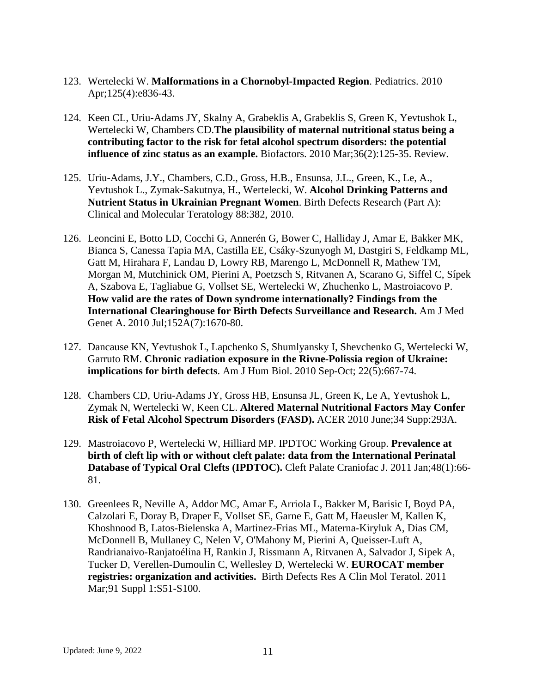- 123. Wertelecki W. **Malformations in a Chornobyl-Impacted Region**. Pediatrics. 2010 Apr;125(4):e836-43.
- 124. Keen CL, Uriu-Adams JY, Skalny A, Grabeklis A, Grabeklis S, Green K, Yevtushok L, Wertelecki W, Chambers CD.**The plausibility of maternal nutritional status being a contributing factor to the risk for fetal alcohol spectrum disorders: the potential influence of zinc status as an example.** Biofactors. 2010 Mar;36(2):125-35. Review.
- 125. Uriu-Adams, J.Y., Chambers, C.D., Gross, H.B., Ensunsa, J.L., Green, K., Le, A., Yevtushok L., Zymak-Sakutnya, H., Wertelecki, W. **Alcohol Drinking Patterns and Nutrient Status in Ukrainian Pregnant Women**. Birth Defects Research (Part A): Clinical and Molecular Teratology 88:382, 2010.
- 126. Leoncini E, Botto LD, Cocchi G, Annerén G, Bower C, Halliday J, Amar E, Bakker MK, Bianca S, Canessa Tapia MA, Castilla EE, Csáky-Szunyogh M, Dastgiri S, Feldkamp ML, Gatt M, Hirahara F, Landau D, Lowry RB, Marengo L, McDonnell R, Mathew TM, Morgan M, Mutchinick OM, Pierini A, Poetzsch S, Ritvanen A, Scarano G, Siffel C, Sípek A, Szabova E, Tagliabue G, Vollset SE, Wertelecki W, Zhuchenko L, Mastroiacovo P. **How valid are the rates of Down syndrome internationally? Findings from the International Clearinghouse for Birth Defects Surveillance and Research.** Am J Med Genet A. 2010 Jul;152A(7):1670-80.
- 127. Dancause KN, Yevtushok L, Lapchenko S, Shumlyansky I, Shevchenko G, Wertelecki W, Garruto RM. **Chronic radiation exposure in the Rivne-Polissia region of Ukraine: implications for birth defects**. Am J Hum Biol. 2010 Sep-Oct; 22(5):667-74.
- 128. Chambers CD, Uriu-Adams JY, Gross HB, Ensunsa JL, Green K, Le A, Yevtushok L, Zymak N, Wertelecki W, Keen CL. **Altered Maternal Nutritional Factors May Confer Risk of Fetal Alcohol Spectrum Disorders (FASD).** ACER 2010 June;34 Supp:293A.
- 129. Mastroiacovo P, Wertelecki W, Hilliard MP. IPDTOC Working Group. **Prevalence at birth of cleft lip with or without cleft palate: data from the International Perinatal Database of Typical Oral Clefts (IPDTOC).** Cleft Palate Craniofac J. 2011 Jan;48(1):66- 81.
- 130. Greenlees R, Neville A, Addor MC, Amar E, Arriola L, Bakker M, Barisic I, Boyd PA, Calzolari E, Doray B, Draper E, Vollset SE, Garne E, Gatt M, Haeusler M, Kallen K, Khoshnood B, Latos-Bielenska A, Martinez-Frias ML, Materna-Kiryluk A, Dias CM, McDonnell B, Mullaney C, Nelen V, O'Mahony M, Pierini A, Queisser-Luft A, Randrianaivo-Ranjatoélina H, Rankin J, Rissmann A, Ritvanen A, Salvador J, Sipek A, Tucker D, Verellen-Dumoulin C, Wellesley D, Wertelecki W. **EUROCAT member registries: organization and activities.** Birth Defects Res A Clin Mol Teratol. 2011 Mar;91 Suppl 1:S51-S100.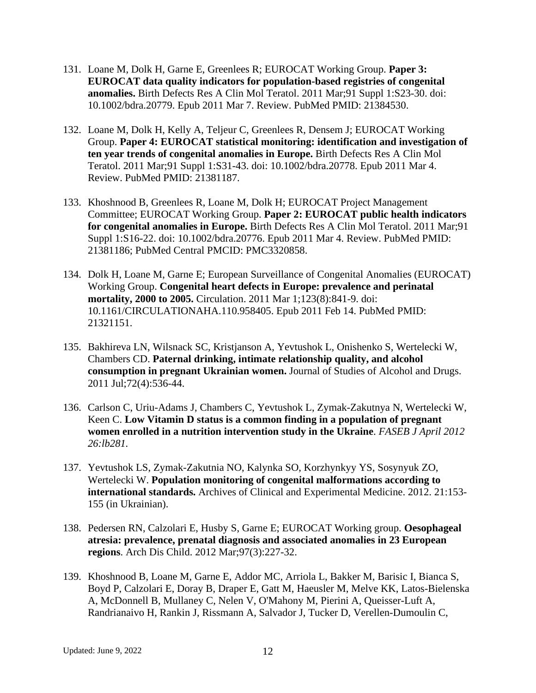- 131. Loane M, Dolk H, Garne E, Greenlees R; EUROCAT Working Group. **Paper 3: EUROCAT data quality indicators for population-based registries of congenital anomalies.** Birth Defects Res A Clin Mol Teratol. 2011 Mar;91 Suppl 1:S23-30. doi: 10.1002/bdra.20779. Epub 2011 Mar 7. Review. PubMed PMID: 21384530.
- 132. Loane M, Dolk H, Kelly A, Teljeur C, Greenlees R, Densem J; EUROCAT Working Group. **Paper 4: EUROCAT statistical monitoring: identification and investigation of ten year trends of congenital anomalies in Europe.** Birth Defects Res A Clin Mol Teratol. 2011 Mar;91 Suppl 1:S31-43. doi: 10.1002/bdra.20778. Epub 2011 Mar 4. Review. PubMed PMID: 21381187.
- 133. Khoshnood B, Greenlees R, Loane M, Dolk H; EUROCAT Project Management Committee; EUROCAT Working Group. **Paper 2: EUROCAT public health indicators for congenital anomalies in Europe.** Birth Defects Res A Clin Mol Teratol. 2011 Mar;91 Suppl 1:S16-22. doi: 10.1002/bdra.20776. Epub 2011 Mar 4. Review. PubMed PMID: 21381186; PubMed Central PMCID: PMC3320858.
- 134. Dolk H, Loane M, Garne E; European Surveillance of Congenital Anomalies (EUROCAT) Working Group. **Congenital heart defects in Europe: prevalence and perinatal mortality, 2000 to 2005.** Circulation. 2011 Mar 1;123(8):841-9. doi: 10.1161/CIRCULATIONAHA.110.958405. Epub 2011 Feb 14. PubMed PMID: 21321151.
- 135. Bakhireva LN, Wilsnack SC, Kristjanson A, Yevtushok L, Onishenko S, Wertelecki W, Chambers CD. **Paternal drinking, intimate relationship quality, and alcohol consumption in pregnant Ukrainian women.** Journal of Studies of Alcohol and Drugs. 2011 Jul;72(4):536-44.
- 136. Carlson C, Uriu-Adams J, Chambers C, Yevtushok L, Zymak-Zakutnya N, Wertelecki W, Keen C. **Low Vitamin D status is a common finding in a population of pregnant women enrolled in a nutrition intervention study in the Ukraine**. *FASEB J April 2012 26:lb281.*
- 137. Yevtushok LS, Zymak-Zakutnia NO, Kalynka SO, Korzhynkyy YS, Sosynyuk ZO, Wertelecki W. **Population monitoring of congenital malformations according to international standards.** Archives of Clinical and Experimental Medicine. 2012. 21:153- 155 (in Ukrainian).
- 138. Pedersen RN, Calzolari E, Husby S, Garne E; EUROCAT Working group. **Oesophageal atresia: prevalence, prenatal diagnosis and associated anomalies in 23 European regions**. Arch Dis Child. 2012 Mar;97(3):227-32.
- 139. Khoshnood B, Loane M, Garne E, Addor MC, Arriola L, Bakker M, Barisic I, Bianca S, Boyd P, Calzolari E, Doray B, Draper E, Gatt M, Haeusler M, Melve KK, Latos-Bielenska A, McDonnell B, Mullaney C, Nelen V, O'Mahony M, Pierini A, Queisser-Luft A, Randrianaivo H, Rankin J, Rissmann A, Salvador J, Tucker D, Verellen-Dumoulin C,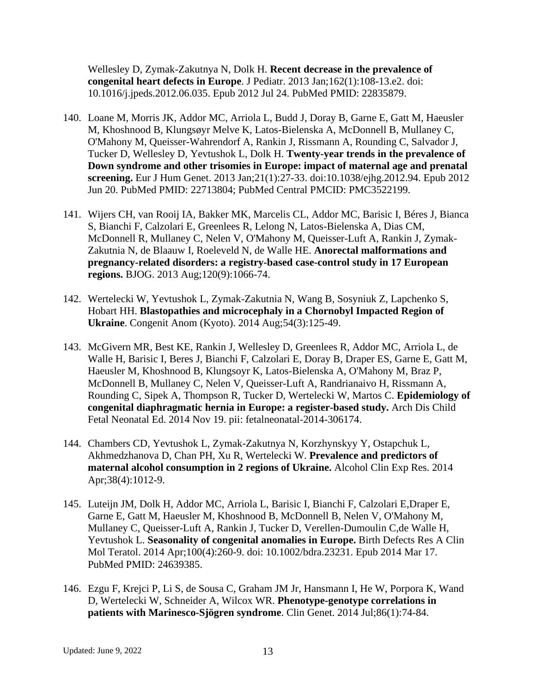Wellesley D, Zymak-Zakutnya N, Dolk H. **Recent decrease in the prevalence of congenital heart defects in Europe**. J Pediatr. 2013 Jan;162(1):108-13.e2. doi: 10.1016/j.jpeds.2012.06.035. Epub 2012 Jul 24. PubMed PMID: 22835879.

- 140. Loane M, Morris JK, Addor MC, Arriola L, Budd J, Doray B, Garne E, Gatt M, Haeusler M, Khoshnood B, Klungsøyr Melve K, Latos-Bielenska A, McDonnell B, Mullaney C, O'Mahony M, Queisser-Wahrendorf A, Rankin J, Rissmann A, Rounding C, Salvador J, Tucker D, Wellesley D, Yevtushok L, Dolk H. **Twenty-year trends in the prevalence of Down syndrome and other trisomies in Europe: impact of maternal age and prenatal screening.** Eur J Hum Genet. 2013 Jan;21(1):27-33. doi:10.1038/ejhg.2012.94. Epub 2012 Jun 20. PubMed PMID: 22713804; PubMed Central PMCID: PMC3522199.
- 141. Wijers CH, van Rooij IA, Bakker MK, Marcelis CL, Addor MC, Barisic I, Béres J, Bianca S, Bianchi F, Calzolari E, Greenlees R, Lelong N, Latos-Bielenska A, Dias CM, McDonnell R, Mullaney C, Nelen V, O'Mahony M, Queisser-Luft A, Rankin J, Zymak-Zakutnia N, de Blaauw I, Roeleveld N, de Walle HE. **Anorectal malformations and pregnancy-related disorders: a registry-based case-control study in 17 European regions.** BJOG. 2013 Aug;120(9):1066-74.
- 142. Wertelecki W, Yevtushok L, Zymak-Zakutnia N, Wang B, Sosyniuk Z, Lapchenko S, Hobart HH. **Blastopathies and microcephaly in a Chornobyl Impacted Region of Ukraine**. Congenit Anom (Kyoto). 2014 Aug;54(3):125-49.
- 143. McGivern MR, Best KE, Rankin J, Wellesley D, Greenlees R, Addor MC, Arriola L, de Walle H, Barisic I, Beres J, Bianchi F, Calzolari E, Doray B, Draper ES, Garne E, Gatt M, Haeusler M, Khoshnood B, Klungsoyr K, Latos-Bielenska A, O'Mahony M, Braz P, McDonnell B, Mullaney C, Nelen V, Queisser-Luft A, Randrianaivo H, Rissmann A, Rounding C, Sipek A, Thompson R, Tucker D, Wertelecki W, Martos C. **Epidemiology of congenital diaphragmatic hernia in Europe: a register-based study.** Arch Dis Child Fetal Neonatal Ed. 2014 Nov 19. pii: fetalneonatal-2014-306174.
- 144. Chambers CD, Yevtushok L, Zymak-Zakutnya N, Korzhynskyy Y, Ostapchuk L, Akhmedzhanova D, Chan PH, Xu R, Wertelecki W. **Prevalence and predictors of maternal alcohol consumption in 2 regions of Ukraine.** Alcohol Clin Exp Res. 2014 Apr;38(4):1012-9.
- 145. Luteijn JM, Dolk H, Addor MC, Arriola L, Barisic I, Bianchi F, Calzolari E,Draper E, Garne E, Gatt M, Haeusler M, Khoshnood B, McDonnell B, Nelen V, O'Mahony M, Mullaney C, Queisser-Luft A, Rankin J, Tucker D, Verellen-Dumoulin C,de Walle H, Yevtushok L. **Seasonality of congenital anomalies in Europe.** Birth Defects Res A Clin Mol Teratol. 2014 Apr;100(4):260-9. doi: 10.1002/bdra.23231. Epub 2014 Mar 17. PubMed PMID: 24639385.
- 146. Ezgu F, Krejci P, Li S, de Sousa C, Graham JM Jr, Hansmann I, He W, Porpora K, Wand D, Wertelecki W, Schneider A, Wilcox WR. **Phenotype-genotype correlations in patients with Marinesco-Sjögren syndrome**. Clin Genet. 2014 Jul;86(1):74-84.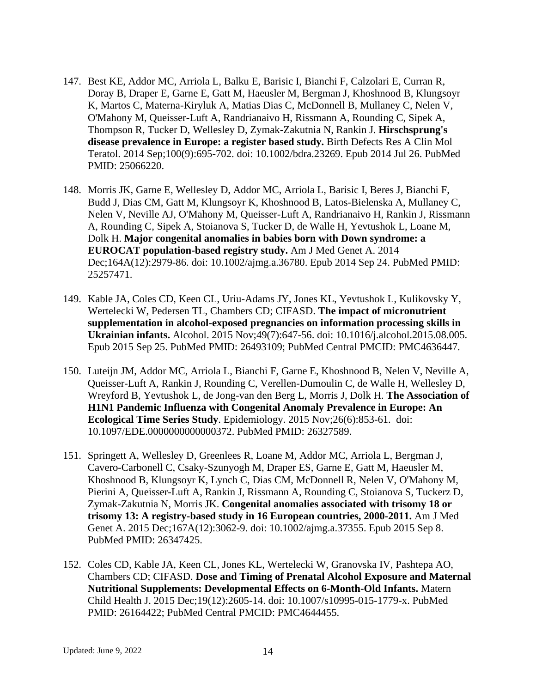- 147. Best KE, Addor MC, Arriola L, Balku E, Barisic I, Bianchi F, Calzolari E, Curran R, Doray B, Draper E, Garne E, Gatt M, Haeusler M, Bergman J, Khoshnood B, Klungsoyr K, Martos C, Materna-Kiryluk A, Matias Dias C, McDonnell B, Mullaney C, Nelen V, O'Mahony M, Queisser-Luft A, Randrianaivo H, Rissmann A, Rounding C, Sipek A, Thompson R, Tucker D, Wellesley D, Zymak-Zakutnia N, Rankin J. **Hirschsprung's disease prevalence in Europe: a register based study.** Birth Defects Res A Clin Mol Teratol. 2014 Sep;100(9):695-702. doi: 10.1002/bdra.23269. Epub 2014 Jul 26. PubMed PMID: 25066220.
- 148. Morris JK, Garne E, Wellesley D, Addor MC, Arriola L, Barisic I, Beres J, Bianchi F, Budd J, Dias CM, Gatt M, Klungsoyr K, Khoshnood B, Latos-Bielenska A, Mullaney C, Nelen V, Neville AJ, O'Mahony M, Queisser-Luft A, Randrianaivo H, Rankin J, Rissmann A, Rounding C, Sipek A, Stoianova S, Tucker D, de Walle H, Yevtushok L, Loane M, Dolk H. **Major congenital anomalies in babies born with Down syndrome: a EUROCAT population-based registry study.** Am J Med Genet A. 2014 Dec;164A(12):2979-86. doi: 10.1002/ajmg.a.36780. Epub 2014 Sep 24. PubMed PMID: 25257471.
- 149. Kable JA, Coles CD, Keen CL, Uriu-Adams JY, Jones KL, Yevtushok L, Kulikovsky Y, Wertelecki W, Pedersen TL, Chambers CD; CIFASD. **The impact of micronutrient supplementation in alcohol-exposed pregnancies on information processing skills in Ukrainian infants.** Alcohol. 2015 Nov;49(7):647-56. doi: 10.1016/j.alcohol.2015.08.005. Epub 2015 Sep 25. PubMed PMID: 26493109; PubMed Central PMCID: PMC4636447.
- 150. Luteijn JM, Addor MC, Arriola L, Bianchi F, Garne E, Khoshnood B, Nelen V, Neville A, Queisser-Luft A, Rankin J, Rounding C, Verellen-Dumoulin C, de Walle H, Wellesley D, Wreyford B, Yevtushok L, de Jong-van den Berg L, Morris J, Dolk H. **The Association of H1N1 Pandemic Influenza with Congenital Anomaly Prevalence in Europe: An Ecological Time Series Study**. Epidemiology. 2015 Nov;26(6):853-61. doi: 10.1097/EDE.0000000000000372. PubMed PMID: 26327589.
- 151. Springett A, Wellesley D, Greenlees R, Loane M, Addor MC, Arriola L, Bergman J, Cavero-Carbonell C, Csaky-Szunyogh M, Draper ES, Garne E, Gatt M, Haeusler M, Khoshnood B, Klungsoyr K, Lynch C, Dias CM, McDonnell R, Nelen V, O'Mahony M, Pierini A, Queisser-Luft A, Rankin J, Rissmann A, Rounding C, Stoianova S, Tuckerz D, Zymak-Zakutnia N, Morris JK. **Congenital anomalies associated with trisomy 18 or trisomy 13: A registry-based study in 16 European countries, 2000-2011.** Am J Med Genet A. 2015 Dec;167A(12):3062-9. doi: 10.1002/ajmg.a.37355. Epub 2015 Sep 8. PubMed PMID: 26347425.
- 152. Coles CD, Kable JA, Keen CL, Jones KL, Wertelecki W, Granovska IV, Pashtepa AO, Chambers CD; CIFASD. **Dose and Timing of Prenatal Alcohol Exposure and Maternal Nutritional Supplements: Developmental Effects on 6-Month-Old Infants.** Matern Child Health J. 2015 Dec;19(12):2605-14. doi: 10.1007/s10995-015-1779-x. PubMed PMID: 26164422; PubMed Central PMCID: PMC4644455.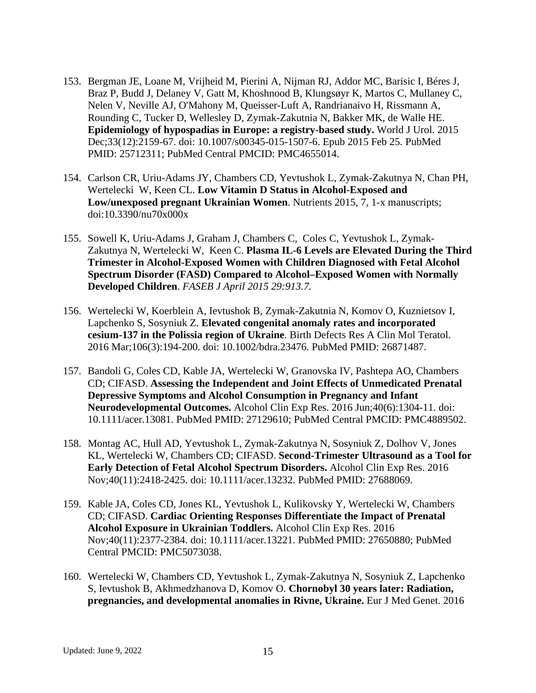- 153. Bergman JE, Loane M, Vrijheid M, Pierini A, Nijman RJ, Addor MC, Barisic I, Béres J, Braz P, Budd J, Delaney V, Gatt M, Khoshnood B, Klungsøyr K, Martos C, Mullaney C, Nelen V, Neville AJ, O'Mahony M, Queisser-Luft A, Randrianaivo H, Rissmann A, Rounding C, Tucker D, Wellesley D, Zymak-Zakutnia N, Bakker MK, de Walle HE. **Epidemiology of hypospadias in Europe: a registry-based study.** World J Urol. 2015 Dec;33(12):2159-67. doi: 10.1007/s00345-015-1507-6. Epub 2015 Feb 25. PubMed PMID: 25712311; PubMed Central PMCID: PMC4655014.
- 154. Carlson CR, Uriu-Adams JY, Chambers CD, Yevtushok L, Zymak-Zakutnya N, Chan PH, Wertelecki W, Keen CL. **Low Vitamin D Status in Alcohol-Exposed and Low/unexposed pregnant Ukrainian Women**. Nutrients 2015, 7, 1-x manuscripts; doi:10.3390/nu70x000x
- 155. Sowell K, Uriu-Adams J, Graham J, Chambers C, Coles C, Yevtushok L, Zymak-Zakutnya N, Wertelecki W, Keen C. **Plasma IL-6 Levels are Elevated During the Third Trimester in Alcohol-Exposed Women with Children Diagnosed with Fetal Alcohol Spectrum Disorder (FASD) Compared to Alcohol–Exposed Women with Normally Developed Children**. *FASEB J April 2015 29:913.7.*
- 156. Wertelecki W, Koerblein A, Ievtushok B, Zymak-Zakutnia N, Komov O, Kuznietsov I, Lapchenko S, Sosyniuk Z. **Elevated congenital anomaly rates and incorporated cesium-137 in the Polissia region of Ukraine**. Birth Defects Res A Clin Mol Teratol. 2016 Mar;106(3):194-200. doi: 10.1002/bdra.23476. PubMed PMID: 26871487.
- 157. Bandoli G, Coles CD, Kable JA, Wertelecki W, Granovska IV, Pashtepa AO, Chambers CD; CIFASD. **Assessing the Independent and Joint Effects of Unmedicated Prenatal Depressive Symptoms and Alcohol Consumption in Pregnancy and Infant Neurodevelopmental Outcomes.** Alcohol Clin Exp Res. 2016 Jun;40(6):1304-11. doi: 10.1111/acer.13081. PubMed PMID: 27129610; PubMed Central PMCID: PMC4889502.
- 158. Montag AC, Hull AD, Yevtushok L, Zymak-Zakutnya N, Sosyniuk Z, Dolhov V, Jones KL, Wertelecki W, Chambers CD; CIFASD. **Second-Trimester Ultrasound as a Tool for Early Detection of Fetal Alcohol Spectrum Disorders.** Alcohol Clin Exp Res. 2016 Nov;40(11):2418-2425. doi: 10.1111/acer.13232. PubMed PMID: 27688069.
- 159. Kable JA, Coles CD, Jones KL, Yevtushok L, Kulikovsky Y, Wertelecki W, Chambers CD; CIFASD. **Cardiac Orienting Responses Differentiate the Impact of Prenatal Alcohol Exposure in Ukrainian Toddlers.** Alcohol Clin Exp Res. 2016 Nov;40(11):2377-2384. doi: 10.1111/acer.13221. PubMed PMID: 27650880; PubMed Central PMCID: PMC5073038.
- 160. Wertelecki W, Chambers CD, Yevtushok L, Zymak-Zakutnya N, Sosyniuk Z, Lapchenko S, Ievtushok B, Akhmedzhanova D, Komov O. **Chornobyl 30 years later: Radiation, pregnancies, and developmental anomalies in Rivne, Ukraine.** Eur J Med Genet. 2016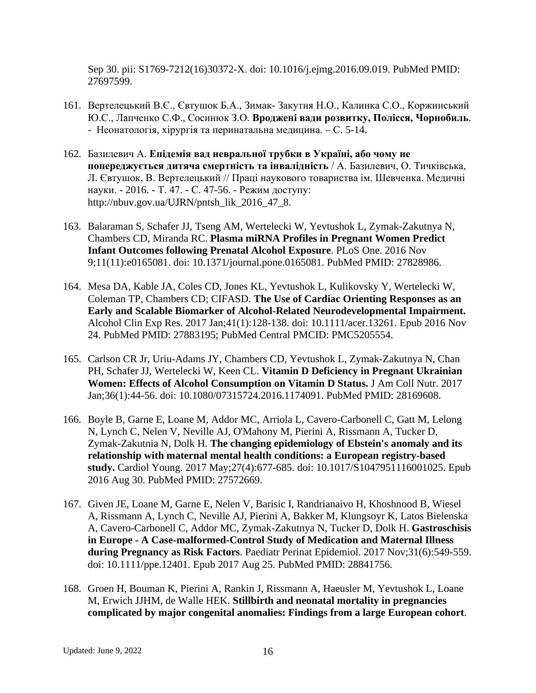Sep 30. pii: S1769-7212(16)30372-X. doi: 10.1016/j.ejmg.2016.09.019. PubMed PMID: 27697599.

- 161. Вертелецький В.Є., Євтушок Б.А., Зимак- Закутня Н.О., Калинка С.О., Коржинський Ю.С., Лапченко С.Ф., Сосинюк З.О. **Вроджені вади розвитку, Полісся, Чорнобиль**. - Неонатологія, хірургія та перинатальна медицина. – С. 5-14.
- 162. Базилевич А. **Епідемія вад невральної трубки в Україні, або чому не попереджується дитяча смертність та інвалідність** / А. Базилевич, О. Тичківська, Л. Євтушок, В. Вертелецький // Праці наукового товариства ім. Шевченка. Медичні науки. - 2016. - Т. 47. - С. 47-56. - Режим доступу: http://nbuv.gov.ua/UJRN/pntsh\_lik\_2016\_47\_8.
- 163. Balaraman S, Schafer JJ, Tseng AM, Wertelecki W, Yevtushok L, Zymak-Zakutnya N, Chambers CD, Miranda RC. **Plasma miRNA Profiles in Pregnant Women Predict Infant Outcomes following Prenatal Alcohol Exposure**. PLoS One. 2016 Nov 9;11(11):e0165081. doi: 10.1371/journal.pone.0165081. PubMed PMID: 27828986.
- 164. Mesa DA, Kable JA, Coles CD, Jones KL, Yevtushok L, Kulikovsky Y, Wertelecki W, Coleman TP, Chambers CD; CIFASD. **The Use of Cardiac Orienting Responses as an Early and Scalable Biomarker of Alcohol-Related Neurodevelopmental Impairment.** Alcohol Clin Exp Res. 2017 Jan;41(1):128-138. doi: 10.1111/acer.13261. Epub 2016 Nov 24. PubMed PMID: 27883195; PubMed Central PMCID: PMC5205554.
- 165. Carlson CR Jr, Uriu-Adams JY, Chambers CD, Yevtushok L, Zymak-Zakutnya N, Chan PH, Schafer JJ, Wertelecki W, Keen CL. **Vitamin D Deficiency in Pregnant Ukrainian Women: Effects of Alcohol Consumption on Vitamin D Status.** J Am Coll Nutr. 2017 Jan;36(1):44-56. doi: 10.1080/07315724.2016.1174091. PubMed PMID: 28169608.
- 166. Boyle B, Garne E, Loane M, Addor MC, Arriola L, Cavero-Carbonell C, Gatt M, Lelong N, Lynch C, Nelen V, Neville AJ, O'Mahony M, Pierini A, Rissmann A, Tucker D, Zymak-Zakutnia N, Dolk H. **The changing epidemiology of Ebstein's anomaly and its relationship with maternal mental health conditions: a European registry-based study.** Cardiol Young. 2017 May;27(4):677-685. doi: 10.1017/S1047951116001025. Epub 2016 Aug 30. PubMed PMID: 27572669.
- 167. Given JE, Loane M, Garne E, Nelen V, Barisic I, Randrianaivo H, Khoshnood B, Wiesel A, Rissmann A, Lynch C, Neville AJ, Pierini A, Bakker M, Klungsoyr K, Latos Bielenska A, Cavero-Carbonell C, Addor MC, Zymak-Zakutnya N, Tucker D, Dolk H. **Gastroschisis in Europe - A Case-malformed-Control Study of Medication and Maternal Illness during Pregnancy as Risk Factors**. Paediatr Perinat Epidemiol. 2017 Nov;31(6):549-559. doi: 10.1111/ppe.12401. Epub 2017 Aug 25. PubMed PMID: 28841756.
- 168. Groen H, Bouman K, Pierini A, Rankin J, Rissmann A, Haeusler M, Yevtushok L, Loane M, Erwich JJHM, de Walle HEK. **Stillbirth and neonatal mortality in pregnancies complicated by major congenital anomalies: Findings from a large European cohort**.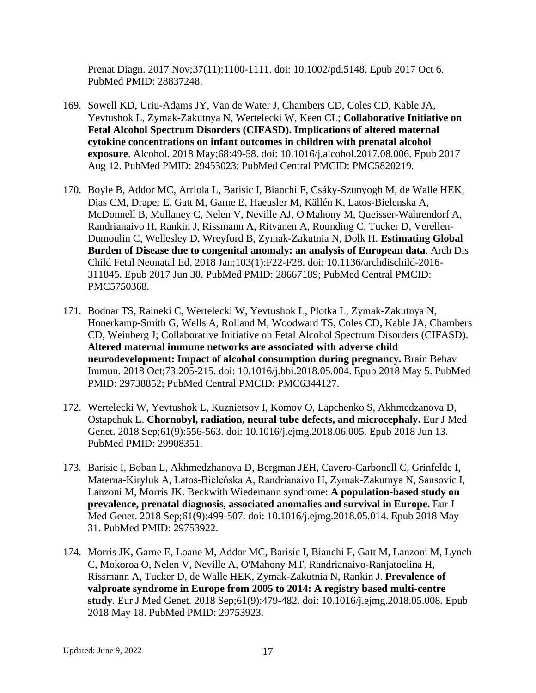Prenat Diagn. 2017 Nov;37(11):1100-1111. doi: 10.1002/pd.5148. Epub 2017 Oct 6. PubMed PMID: 28837248.

- 169. Sowell KD, Uriu-Adams JY, Van de Water J, Chambers CD, Coles CD, Kable JA, Yevtushok L, Zymak-Zakutnya N, Wertelecki W, Keen CL; **Collaborative Initiative on Fetal Alcohol Spectrum Disorders (CIFASD). Implications of altered maternal cytokine concentrations on infant outcomes in children with prenatal alcohol exposure**. Alcohol. 2018 May;68:49-58. doi: 10.1016/j.alcohol.2017.08.006. Epub 2017 Aug 12. PubMed PMID: 29453023; PubMed Central PMCID: PMC5820219.
- 170. Boyle B, Addor MC, Arriola L, Barisic I, Bianchi F, Csáky-Szunyogh M, de Walle HEK, Dias CM, Draper E, Gatt M, Garne E, Haeusler M, Källén K, Latos-Bielenska A, McDonnell B, Mullaney C, Nelen V, Neville AJ, O'Mahony M, Queisser-Wahrendorf A, Randrianaivo H, Rankin J, Rissmann A, Ritvanen A, Rounding C, Tucker D, Verellen-Dumoulin C, Wellesley D, Wreyford B, Zymak-Zakutnia N, Dolk H. **Estimating Global Burden of Disease due to congenital anomaly: an analysis of European data**. Arch Dis Child Fetal Neonatal Ed. 2018 Jan;103(1):F22-F28. doi: 10.1136/archdischild-2016- 311845. Epub 2017 Jun 30. PubMed PMID: 28667189; PubMed Central PMCID: PMC5750368.
- 171. Bodnar TS, Raineki C, Wertelecki W, Yevtushok L, Plotka L, Zymak-Zakutnya N, Honerkamp-Smith G, Wells A, Rolland M, Woodward TS, Coles CD, Kable JA, Chambers CD, Weinberg J; Collaborative Initiative on Fetal Alcohol Spectrum Disorders (CIFASD). **Altered maternal immune networks are associated with adverse child neurodevelopment: Impact of alcohol consumption during pregnancy.** Brain Behav Immun. 2018 Oct;73:205-215. doi: 10.1016/j.bbi.2018.05.004. Epub 2018 May 5. PubMed PMID: 29738852; PubMed Central PMCID: PMC6344127.
- 172. Wertelecki W, Yevtushok L, Kuznietsov I, Komov O, Lapchenko S, Akhmedzanova D, Ostapchuk L. **Chornobyl, radiation, neural tube defects, and microcephaly.** Eur J Med Genet. 2018 Sep;61(9):556-563. doi: 10.1016/j.ejmg.2018.06.005. Epub 2018 Jun 13. PubMed PMID: 29908351.
- 173. Barisic I, Boban L, Akhmedzhanova D, Bergman JEH, Cavero-Carbonell C, Grinfelde I, Materna-Kiryluk A, Latos-Bieleńska A, Randrianaivo H, Zymak-Zakutnya N, Sansovic I, Lanzoni M, Morris JK. Beckwith Wiedemann syndrome: **A population-based study on prevalence, prenatal diagnosis, associated anomalies and survival in Europe.** Eur J Med Genet. 2018 Sep;61(9):499-507. doi: 10.1016/j.ejmg.2018.05.014. Epub 2018 May 31. PubMed PMID: 29753922.
- 174. Morris JK, Garne E, Loane M, Addor MC, Barisic I, Bianchi F, Gatt M, Lanzoni M, Lynch C, Mokoroa O, Nelen V, Neville A, O'Mahony MT, Randrianaivo-Ranjatoelina H, Rissmann A, Tucker D, de Walle HEK, Zymak-Zakutnia N, Rankin J. **Prevalence of valproate syndrome in Europe from 2005 to 2014: A registry based multi-centre study**. Eur J Med Genet. 2018 Sep;61(9):479-482. doi: 10.1016/j.ejmg.2018.05.008. Epub 2018 May 18. PubMed PMID: 29753923.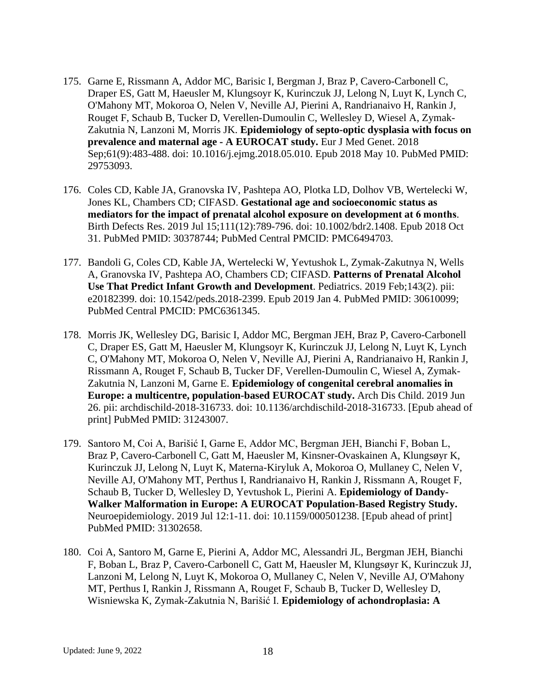- 175. Garne E, Rissmann A, Addor MC, Barisic I, Bergman J, Braz P, Cavero-Carbonell C, Draper ES, Gatt M, Haeusler M, Klungsoyr K, Kurinczuk JJ, Lelong N, Luyt K, Lynch C, O'Mahony MT, Mokoroa O, Nelen V, Neville AJ, Pierini A, Randrianaivo H, Rankin J, Rouget F, Schaub B, Tucker D, Verellen-Dumoulin C, Wellesley D, Wiesel A, Zymak-Zakutnia N, Lanzoni M, Morris JK. **Epidemiology of septo-optic dysplasia with focus on prevalence and maternal age - A EUROCAT study.** Eur J Med Genet. 2018 Sep;61(9):483-488. doi: 10.1016/j.ejmg.2018.05.010. Epub 2018 May 10. PubMed PMID: 29753093.
- 176. Coles CD, Kable JA, Granovska IV, Pashtepa AO, Plotka LD, Dolhov VB, Wertelecki W, Jones KL, Chambers CD; CIFASD. **Gestational age and socioeconomic status as mediators for the impact of prenatal alcohol exposure on development at 6 months**. Birth Defects Res. 2019 Jul 15;111(12):789-796. doi: 10.1002/bdr2.1408. Epub 2018 Oct 31. PubMed PMID: 30378744; PubMed Central PMCID: PMC6494703.
- 177. Bandoli G, Coles CD, Kable JA, Wertelecki W, Yevtushok L, Zymak-Zakutnya N, Wells A, Granovska IV, Pashtepa AO, Chambers CD; CIFASD. **Patterns of Prenatal Alcohol Use That Predict Infant Growth and Development**. Pediatrics. 2019 Feb;143(2). pii: e20182399. doi: 10.1542/peds.2018-2399. Epub 2019 Jan 4. PubMed PMID: 30610099; PubMed Central PMCID: PMC6361345.
- 178. Morris JK, Wellesley DG, Barisic I, Addor MC, Bergman JEH, Braz P, Cavero-Carbonell C, Draper ES, Gatt M, Haeusler M, Klungsoyr K, Kurinczuk JJ, Lelong N, Luyt K, Lynch C, O'Mahony MT, Mokoroa O, Nelen V, Neville AJ, Pierini A, Randrianaivo H, Rankin J, Rissmann A, Rouget F, Schaub B, Tucker DF, Verellen-Dumoulin C, Wiesel A, Zymak-Zakutnia N, Lanzoni M, Garne E. **Epidemiology of congenital cerebral anomalies in Europe: a multicentre, population-based EUROCAT study.** Arch Dis Child. 2019 Jun 26. pii: archdischild-2018-316733. doi: 10.1136/archdischild-2018-316733. [Epub ahead of print] PubMed PMID: 31243007.
- 179. Santoro M, Coi A, Barišić I, Garne E, Addor MC, Bergman JEH, Bianchi F, Boban L, Braz P, Cavero-Carbonell C, Gatt M, Haeusler M, Kinsner-Ovaskainen A, Klungsøyr K, Kurinczuk JJ, Lelong N, Luyt K, Materna-Kiryluk A, Mokoroa O, Mullaney C, Nelen V, Neville AJ, O'Mahony MT, Perthus I, Randrianaivo H, Rankin J, Rissmann A, Rouget F, Schaub B, Tucker D, Wellesley D, Yevtushok L, Pierini A. **Epidemiology of Dandy-Walker Malformation in Europe: A EUROCAT Population-Based Registry Study.**  Neuroepidemiology. 2019 Jul 12:1-11. doi: 10.1159/000501238. [Epub ahead of print] PubMed PMID: 31302658.
- 180. Coi A, Santoro M, Garne E, Pierini A, Addor MC, Alessandri JL, Bergman JEH, Bianchi F, Boban L, Braz P, Cavero-Carbonell C, Gatt M, Haeusler M, Klungsøyr K, Kurinczuk JJ, Lanzoni M, Lelong N, Luyt K, Mokoroa O, Mullaney C, Nelen V, Neville AJ, O'Mahony MT, Perthus I, Rankin J, Rissmann A, Rouget F, Schaub B, Tucker D, Wellesley D, Wisniewska K, Zymak-Zakutnia N, Barišić I. **Epidemiology of achondroplasia: A**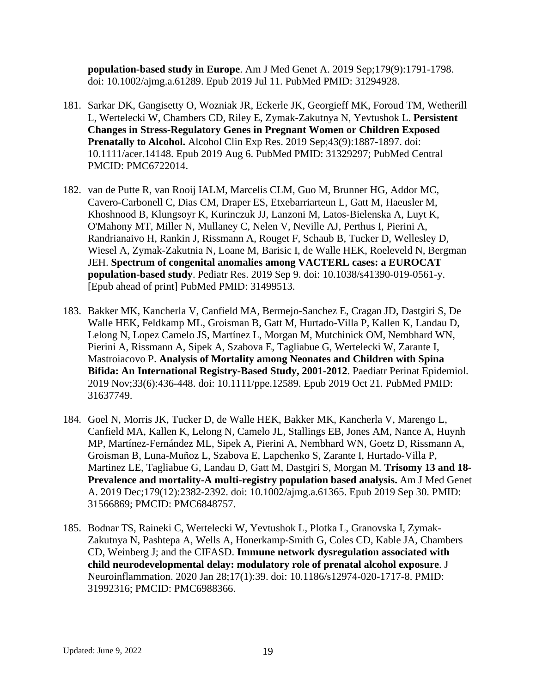**population-based study in Europe**. Am J Med Genet A. 2019 Sep;179(9):1791-1798. doi: 10.1002/ajmg.a.61289. Epub 2019 Jul 11. PubMed PMID: 31294928.

- 181. Sarkar DK, Gangisetty O, Wozniak JR, Eckerle JK, Georgieff MK, Foroud TM, Wetherill L, Wertelecki W, Chambers CD, Riley E, Zymak-Zakutnya N, Yevtushok L. **Persistent Changes in Stress-Regulatory Genes in Pregnant Women or Children Exposed Prenatally to Alcohol.** Alcohol Clin Exp Res. 2019 Sep;43(9):1887-1897. doi: 10.1111/acer.14148. Epub 2019 Aug 6. PubMed PMID: 31329297; PubMed Central PMCID: PMC6722014.
- 182. van de Putte R, van Rooij IALM, Marcelis CLM, Guo M, Brunner HG, Addor MC, Cavero-Carbonell C, Dias CM, Draper ES, Etxebarriarteun L, Gatt M, Haeusler M, Khoshnood B, Klungsoyr K, Kurinczuk JJ, Lanzoni M, Latos-Bielenska A, Luyt K, O'Mahony MT, Miller N, Mullaney C, Nelen V, Neville AJ, Perthus I, Pierini A, Randrianaivo H, Rankin J, Rissmann A, Rouget F, Schaub B, Tucker D, Wellesley D, Wiesel A, Zymak-Zakutnia N, Loane M, Barisic I, de Walle HEK, Roeleveld N, Bergman JEH. **Spectrum of congenital anomalies among VACTERL cases: a EUROCAT population-based study**. Pediatr Res. 2019 Sep 9. doi: 10.1038/s41390-019-0561-y. [Epub ahead of print] PubMed PMID: 31499513.
- 183. Bakker MK, Kancherla V, Canfield MA, Bermejo-Sanchez E, Cragan JD, Dastgiri S, De Walle HEK, Feldkamp ML, Groisman B, Gatt M, Hurtado-Villa P, Kallen K, Landau D, Lelong N, Lopez Camelo JS, Martínez L, Morgan M, Mutchinick OM, Nembhard WN, Pierini A, Rissmann A, Sipek A, Szabova E, Tagliabue G, Wertelecki W, Zarante I, Mastroiacovo P. **Analysis of Mortality among Neonates and Children with Spina Bifida: An International Registry-Based Study, 2001-2012**. Paediatr Perinat Epidemiol. 2019 Nov;33(6):436-448. doi: 10.1111/ppe.12589. Epub 2019 Oct 21. PubMed PMID: 31637749.
- 184. Goel N, Morris JK, Tucker D, de Walle HEK, Bakker MK, Kancherla V, Marengo L, Canfield MA, Kallen K, Lelong N, Camelo JL, Stallings EB, Jones AM, Nance A, Huynh MP, Martínez-Fernández ML, Sipek A, Pierini A, Nembhard WN, Goetz D, Rissmann A, Groisman B, Luna-Muñoz L, Szabova E, Lapchenko S, Zarante I, Hurtado-Villa P, Martinez LE, Tagliabue G, Landau D, Gatt M, Dastgiri S, Morgan M. **Trisomy 13 and 18- Prevalence and mortality-A multi-registry population based analysis.** Am J Med Genet A. 2019 Dec;179(12):2382-2392. doi: 10.1002/ajmg.a.61365. Epub 2019 Sep 30. PMID: 31566869; PMCID: PMC6848757.
- 185. Bodnar TS, Raineki C, Wertelecki W, Yevtushok L, Plotka L, Granovska I, Zymak-Zakutnya N, Pashtepa A, Wells A, Honerkamp-Smith G, Coles CD, Kable JA, Chambers CD, Weinberg J; and the CIFASD. **Immune network dysregulation associated with child neurodevelopmental delay: modulatory role of prenatal alcohol exposure**. J Neuroinflammation. 2020 Jan 28;17(1):39. doi: 10.1186/s12974-020-1717-8. PMID: 31992316; PMCID: PMC6988366.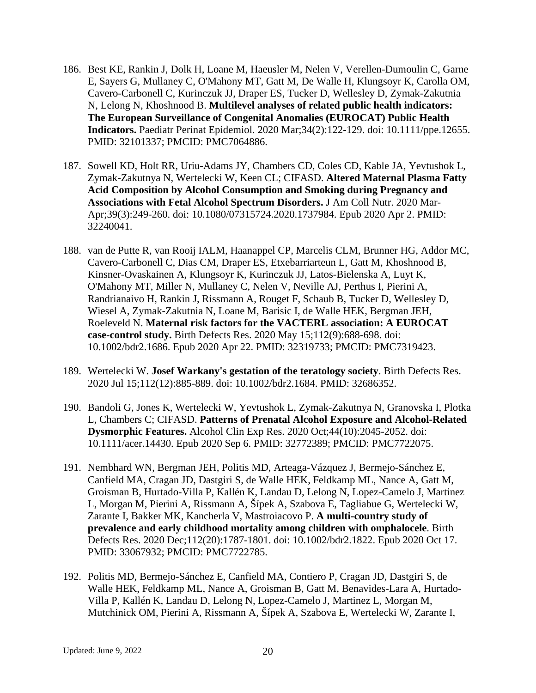- 186. Best KE, Rankin J, Dolk H, Loane M, Haeusler M, Nelen V, Verellen-Dumoulin C, Garne E, Sayers G, Mullaney C, O'Mahony MT, Gatt M, De Walle H, Klungsoyr K, Carolla OM, Cavero-Carbonell C, Kurinczuk JJ, Draper ES, Tucker D, Wellesley D, Zymak-Zakutnia N, Lelong N, Khoshnood B. **Multilevel analyses of related public health indicators: The European Surveillance of Congenital Anomalies (EUROCAT) Public Health Indicators.** Paediatr Perinat Epidemiol. 2020 Mar;34(2):122-129. doi: 10.1111/ppe.12655. PMID: 32101337; PMCID: PMC7064886.
- 187. Sowell KD, Holt RR, Uriu-Adams JY, Chambers CD, Coles CD, Kable JA, Yevtushok L, Zymak-Zakutnya N, Wertelecki W, Keen CL; CIFASD. **Altered Maternal Plasma Fatty Acid Composition by Alcohol Consumption and Smoking during Pregnancy and Associations with Fetal Alcohol Spectrum Disorders.** J Am Coll Nutr. 2020 Mar-Apr;39(3):249-260. doi: 10.1080/07315724.2020.1737984. Epub 2020 Apr 2. PMID: 32240041.
- 188. van de Putte R, van Rooij IALM, Haanappel CP, Marcelis CLM, Brunner HG, Addor MC, Cavero-Carbonell C, Dias CM, Draper ES, Etxebarriarteun L, Gatt M, Khoshnood B, Kinsner-Ovaskainen A, Klungsoyr K, Kurinczuk JJ, Latos-Bielenska A, Luyt K, O'Mahony MT, Miller N, Mullaney C, Nelen V, Neville AJ, Perthus I, Pierini A, Randrianaivo H, Rankin J, Rissmann A, Rouget F, Schaub B, Tucker D, Wellesley D, Wiesel A, Zymak-Zakutnia N, Loane M, Barisic I, de Walle HEK, Bergman JEH, Roeleveld N. **Maternal risk factors for the VACTERL association: A EUROCAT case-control study.** Birth Defects Res. 2020 May 15;112(9):688-698. doi: 10.1002/bdr2.1686. Epub 2020 Apr 22. PMID: 32319733; PMCID: PMC7319423.
- 189. Wertelecki W. **Josef Warkany's gestation of the teratology society**. Birth Defects Res. 2020 Jul 15;112(12):885-889. doi: 10.1002/bdr2.1684. PMID: 32686352.
- 190. Bandoli G, Jones K, Wertelecki W, Yevtushok L, Zymak-Zakutnya N, Granovska I, Plotka L, Chambers C; CIFASD. **Patterns of Prenatal Alcohol Exposure and Alcohol-Related Dysmorphic Features.** Alcohol Clin Exp Res. 2020 Oct;44(10):2045-2052. doi: 10.1111/acer.14430. Epub 2020 Sep 6. PMID: 32772389; PMCID: PMC7722075.
- 191. Nembhard WN, Bergman JEH, Politis MD, Arteaga-Vázquez J, Bermejo-Sánchez E, Canfield MA, Cragan JD, Dastgiri S, de Walle HEK, Feldkamp ML, Nance A, Gatt M, Groisman B, Hurtado-Villa P, Kallén K, Landau D, Lelong N, Lopez-Camelo J, Martinez L, Morgan M, Pierini A, Rissmann A, Šípek A, Szabova E, Tagliabue G, Wertelecki W, Zarante I, Bakker MK, Kancherla V, Mastroiacovo P. **A multi-country study of prevalence and early childhood mortality among children with omphalocele**. Birth Defects Res. 2020 Dec;112(20):1787-1801. doi: 10.1002/bdr2.1822. Epub 2020 Oct 17. PMID: 33067932; PMCID: PMC7722785.
- 192. Politis MD, Bermejo-Sánchez E, Canfield MA, Contiero P, Cragan JD, Dastgiri S, de Walle HEK, Feldkamp ML, Nance A, Groisman B, Gatt M, Benavides-Lara A, Hurtado-Villa P, Kallén K, Landau D, Lelong N, Lopez-Camelo J, Martinez L, Morgan M, Mutchinick OM, Pierini A, Rissmann A, Šípek A, Szabova E, Wertelecki W, Zarante I,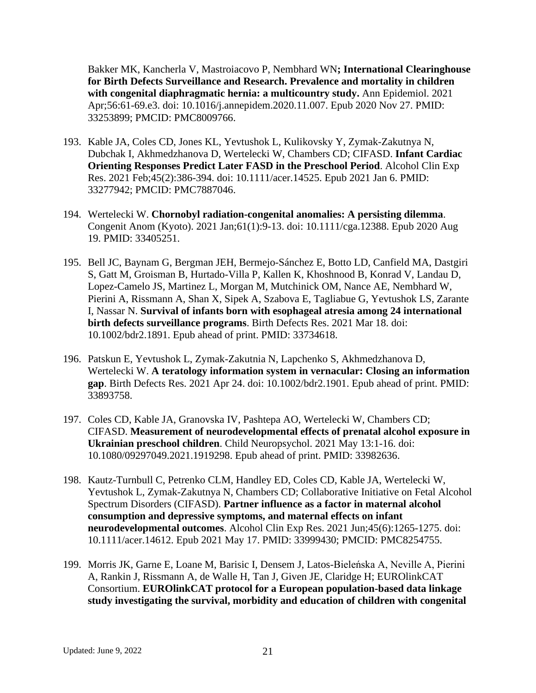Bakker MK, Kancherla V, Mastroiacovo P, Nembhard WN**; International Clearinghouse for Birth Defects Surveillance and Research. Prevalence and mortality in children with congenital diaphragmatic hernia: a multicountry study.** Ann Epidemiol. 2021 Apr;56:61-69.e3. doi: 10.1016/j.annepidem.2020.11.007. Epub 2020 Nov 27. PMID: 33253899; PMCID: PMC8009766.

- 193. Kable JA, Coles CD, Jones KL, Yevtushok L, Kulikovsky Y, Zymak-Zakutnya N, Dubchak I, Akhmedzhanova D, Wertelecki W, Chambers CD; CIFASD. **Infant Cardiac Orienting Responses Predict Later FASD in the Preschool Period**. Alcohol Clin Exp Res. 2021 Feb;45(2):386-394. doi: 10.1111/acer.14525. Epub 2021 Jan 6. PMID: 33277942; PMCID: PMC7887046.
- 194. Wertelecki W. **Chornobyl radiation-congenital anomalies: A persisting dilemma**. Congenit Anom (Kyoto). 2021 Jan;61(1):9-13. doi: 10.1111/cga.12388. Epub 2020 Aug 19. PMID: 33405251.
- 195. Bell JC, Baynam G, Bergman JEH, Bermejo-Sánchez E, Botto LD, Canfield MA, Dastgiri S, Gatt M, Groisman B, Hurtado-Villa P, Kallen K, Khoshnood B, Konrad V, Landau D, Lopez-Camelo JS, Martinez L, Morgan M, Mutchinick OM, Nance AE, Nembhard W, Pierini A, Rissmann A, Shan X, Sipek A, Szabova E, Tagliabue G, Yevtushok LS, Zarante I, Nassar N. **Survival of infants born with esophageal atresia among 24 international birth defects surveillance programs**. Birth Defects Res. 2021 Mar 18. doi: 10.1002/bdr2.1891. Epub ahead of print. PMID: 33734618.
- 196. Patskun E, Yevtushok L, Zymak-Zakutnia N, Lapchenko S, Akhmedzhanova D, Wertelecki W. **A teratology information system in vernacular: Closing an information gap**. Birth Defects Res. 2021 Apr 24. doi: 10.1002/bdr2.1901. Epub ahead of print. PMID: 33893758.
- 197. Coles CD, Kable JA, Granovska IV, Pashtepa AO, Wertelecki W, Chambers CD; CIFASD. **Measurement of neurodevelopmental effects of prenatal alcohol exposure in Ukrainian preschool children**. Child Neuropsychol. 2021 May 13:1-16. doi: 10.1080/09297049.2021.1919298. Epub ahead of print. PMID: 33982636.
- 198. Kautz-Turnbull C, Petrenko CLM, Handley ED, Coles CD, Kable JA, Wertelecki W, Yevtushok L, Zymak-Zakutnya N, Chambers CD; Collaborative Initiative on Fetal Alcohol Spectrum Disorders (CIFASD). **Partner influence as a factor in maternal alcohol consumption and depressive symptoms, and maternal effects on infant neurodevelopmental outcomes**. Alcohol Clin Exp Res. 2021 Jun;45(6):1265-1275. doi: 10.1111/acer.14612. Epub 2021 May 17. PMID: 33999430; PMCID: PMC8254755.
- 199. Morris JK, Garne E, Loane M, Barisic I, Densem J, Latos-Bieleńska A, Neville A, Pierini A, Rankin J, Rissmann A, de Walle H, Tan J, Given JE, Claridge H; EUROlinkCAT Consortium. **EUROlinkCAT protocol for a European population-based data linkage study investigating the survival, morbidity and education of children with congenital**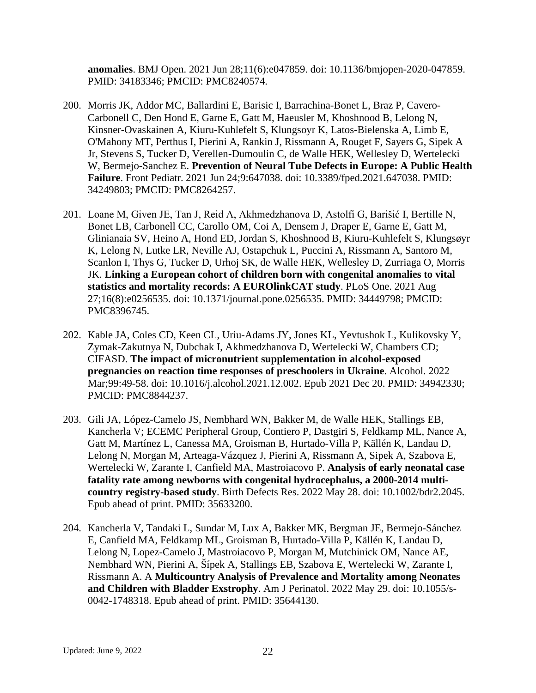**anomalies**. BMJ Open. 2021 Jun 28;11(6):e047859. doi: 10.1136/bmjopen-2020-047859. PMID: 34183346; PMCID: PMC8240574.

- 200. Morris JK, Addor MC, Ballardini E, Barisic I, Barrachina-Bonet L, Braz P, Cavero-Carbonell C, Den Hond E, Garne E, Gatt M, Haeusler M, Khoshnood B, Lelong N, Kinsner-Ovaskainen A, Kiuru-Kuhlefelt S, Klungsoyr K, Latos-Bielenska A, Limb E, O'Mahony MT, Perthus I, Pierini A, Rankin J, Rissmann A, Rouget F, Sayers G, Sipek A Jr, Stevens S, Tucker D, Verellen-Dumoulin C, de Walle HEK, Wellesley D, Wertelecki W, Bermejo-Sanchez E. **Prevention of Neural Tube Defects in Europe: A Public Health Failure**. Front Pediatr. 2021 Jun 24;9:647038. doi: 10.3389/fped.2021.647038. PMID: 34249803; PMCID: PMC8264257.
- 201. Loane M, Given JE, Tan J, Reid A, Akhmedzhanova D, Astolfi G, Barišić I, Bertille N, Bonet LB, Carbonell CC, Carollo OM, Coi A, Densem J, Draper E, Garne E, Gatt M, Glinianaia SV, Heino A, Hond ED, Jordan S, Khoshnood B, Kiuru-Kuhlefelt S, Klungsøyr K, Lelong N, Lutke LR, Neville AJ, Ostapchuk L, Puccini A, Rissmann A, Santoro M, Scanlon I, Thys G, Tucker D, Urhoj SK, de Walle HEK, Wellesley D, Zurriaga O, Morris JK. **Linking a European cohort of children born with congenital anomalies to vital statistics and mortality records: A EUROlinkCAT study**. PLoS One. 2021 Aug 27;16(8):e0256535. doi: 10.1371/journal.pone.0256535. PMID: 34449798; PMCID: PMC8396745.
- 202. Kable JA, Coles CD, Keen CL, Uriu-Adams JY, Jones KL, Yevtushok L, Kulikovsky Y, Zymak-Zakutnya N, Dubchak I, Akhmedzhanova D, Wertelecki W, Chambers CD; CIFASD. **The impact of micronutrient supplementation in alcohol-exposed pregnancies on reaction time responses of preschoolers in Ukraine**. Alcohol. 2022 Mar;99:49-58. doi: 10.1016/j.alcohol.2021.12.002. Epub 2021 Dec 20. PMID: 34942330; PMCID: PMC8844237.
- 203. Gili JA, López-Camelo JS, Nembhard WN, Bakker M, de Walle HEK, Stallings EB, Kancherla V; ECEMC Peripheral Group, Contiero P, Dastgiri S, Feldkamp ML, Nance A, Gatt M, Martínez L, Canessa MA, Groisman B, Hurtado-Villa P, Källén K, Landau D, Lelong N, Morgan M, Arteaga-Vázquez J, Pierini A, Rissmann A, Sipek A, Szabova E, Wertelecki W, Zarante I, Canfield MA, Mastroiacovo P. **Analysis of early neonatal case fatality rate among newborns with congenital hydrocephalus, a 2000-2014 multicountry registry-based study**. Birth Defects Res. 2022 May 28. doi: 10.1002/bdr2.2045. Epub ahead of print. PMID: 35633200.
- 204. Kancherla V, Tandaki L, Sundar M, Lux A, Bakker MK, Bergman JE, Bermejo-Sánchez E, Canfield MA, Feldkamp ML, Groisman B, Hurtado-Villa P, Källén K, Landau D, Lelong N, Lopez-Camelo J, Mastroiacovo P, Morgan M, Mutchinick OM, Nance AE, Nembhard WN, Pierini A, Šípek A, Stallings EB, Szabova E, Wertelecki W, Zarante I, Rissmann A. A **Multicountry Analysis of Prevalence and Mortality among Neonates and Children with Bladder Exstrophy**. Am J Perinatol. 2022 May 29. doi: 10.1055/s-0042-1748318. Epub ahead of print. PMID: 35644130.